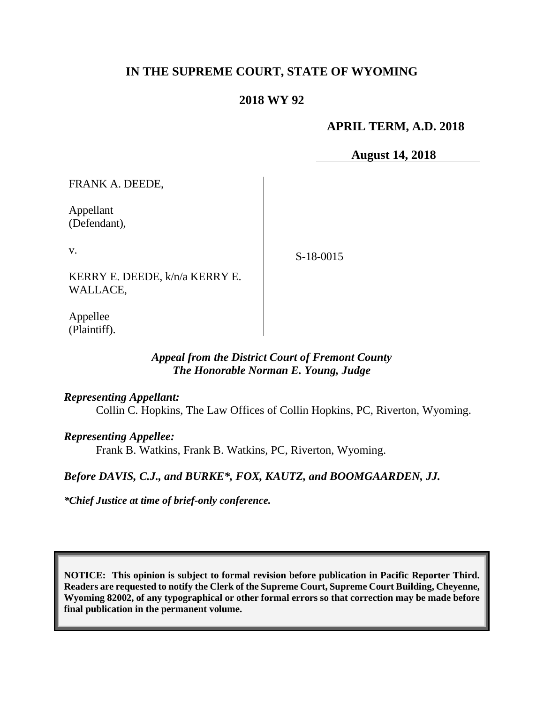# **IN THE SUPREME COURT, STATE OF WYOMING**

## **2018 WY 92**

## **APRIL TERM, A.D. 2018**

**August 14, 2018**

FRANK A. DEEDE,

Appellant (Defendant),

v.

S-18-0015

KERRY E. DEEDE, k/n/a KERRY E. WALLACE,

Appellee (Plaintiff).

### *Appeal from the District Court of Fremont County The Honorable Norman E. Young, Judge*

#### *Representing Appellant:*

Collin C. Hopkins, The Law Offices of Collin Hopkins, PC, Riverton, Wyoming.

## *Representing Appellee:*

Frank B. Watkins, Frank B. Watkins, PC, Riverton, Wyoming.

#### *Before DAVIS, C.J., and BURKE\*, FOX, KAUTZ, and BOOMGAARDEN, JJ.*

*\*Chief Justice at time of brief-only conference.*

**NOTICE: This opinion is subject to formal revision before publication in Pacific Reporter Third. Readers are requested to notify the Clerk of the Supreme Court, Supreme Court Building, Cheyenne, Wyoming 82002, of any typographical or other formal errors so that correction may be made before final publication in the permanent volume.**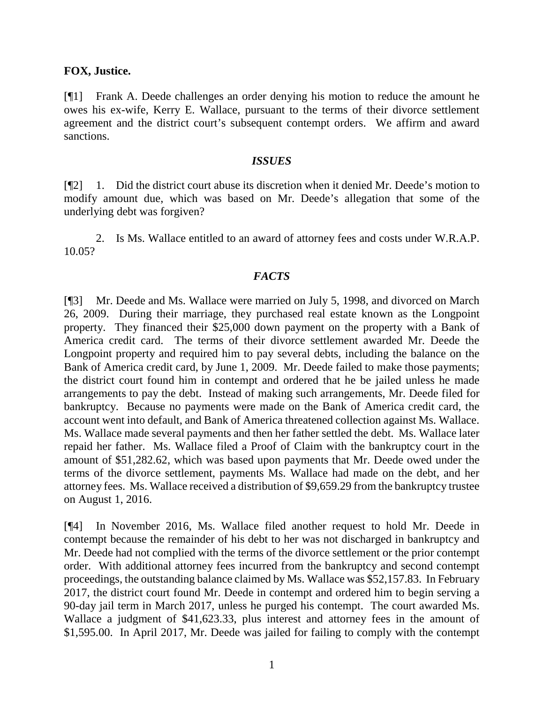### **FOX, Justice.**

[¶1] Frank A. Deede challenges an order denying his motion to reduce the amount he owes his ex-wife, Kerry E. Wallace, pursuant to the terms of their divorce settlement agreement and the district court's subsequent contempt orders. We affirm and award sanctions.

#### *ISSUES*

[¶2] 1. Did the district court abuse its discretion when it denied Mr. Deede's motion to modify amount due, which was based on Mr. Deede's allegation that some of the underlying debt was forgiven?

2. Is Ms. Wallace entitled to an award of attorney fees and costs under W.R.A.P. 10.05?

### *FACTS*

[¶3] Mr. Deede and Ms. Wallace were married on July 5, 1998, and divorced on March 26, 2009. During their marriage, they purchased real estate known as the Longpoint property. They financed their \$25,000 down payment on the property with a Bank of America credit card. The terms of their divorce settlement awarded Mr. Deede the Longpoint property and required him to pay several debts, including the balance on the Bank of America credit card, by June 1, 2009. Mr. Deede failed to make those payments; the district court found him in contempt and ordered that he be jailed unless he made arrangements to pay the debt. Instead of making such arrangements, Mr. Deede filed for bankruptcy. Because no payments were made on the Bank of America credit card, the account went into default, and Bank of America threatened collection against Ms. Wallace. Ms. Wallace made several payments and then her father settled the debt. Ms. Wallace later repaid her father. Ms. Wallace filed a Proof of Claim with the bankruptcy court in the amount of \$51,282.62, which was based upon payments that Mr. Deede owed under the terms of the divorce settlement, payments Ms. Wallace had made on the debt, and her attorney fees. Ms. Wallace received a distribution of \$9,659.29 from the bankruptcy trustee on August 1, 2016.

[¶4] In November 2016, Ms. Wallace filed another request to hold Mr. Deede in contempt because the remainder of his debt to her was not discharged in bankruptcy and Mr. Deede had not complied with the terms of the divorce settlement or the prior contempt order. With additional attorney fees incurred from the bankruptcy and second contempt proceedings, the outstanding balance claimed by Ms. Wallace was \$52,157.83. In February 2017, the district court found Mr. Deede in contempt and ordered him to begin serving a 90-day jail term in March 2017, unless he purged his contempt. The court awarded Ms. Wallace a judgment of \$41,623.33, plus interest and attorney fees in the amount of \$1,595.00. In April 2017, Mr. Deede was jailed for failing to comply with the contempt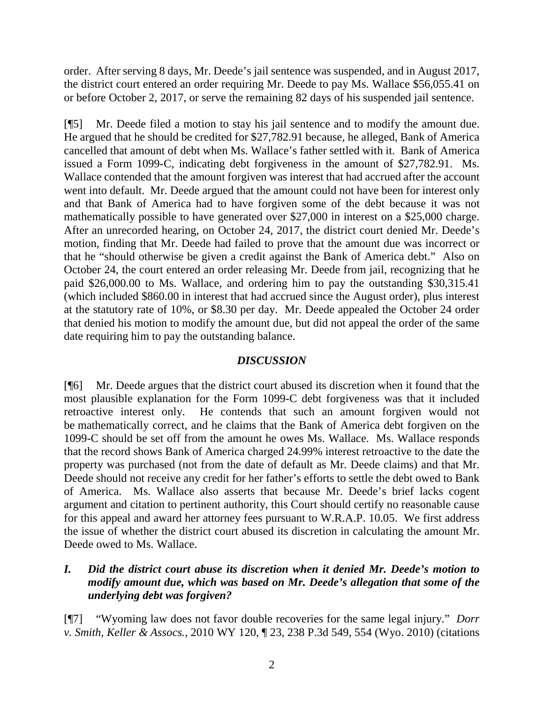order. After serving 8 days, Mr. Deede's jail sentence was suspended, and in August 2017, the district court entered an order requiring Mr. Deede to pay Ms. Wallace \$56,055.41 on or before October 2, 2017, or serve the remaining 82 days of his suspended jail sentence.

[¶5] Mr. Deede filed a motion to stay his jail sentence and to modify the amount due. He argued that he should be credited for \$27,782.91 because, he alleged, Bank of America cancelled that amount of debt when Ms. Wallace's father settled with it. Bank of America issued a Form 1099-C, indicating debt forgiveness in the amount of \$27,782.91. Ms. Wallace contended that the amount forgiven was interest that had accrued after the account went into default. Mr. Deede argued that the amount could not have been for interest only and that Bank of America had to have forgiven some of the debt because it was not mathematically possible to have generated over \$27,000 in interest on a \$25,000 charge. After an unrecorded hearing, on October 24, 2017, the district court denied Mr. Deede's motion, finding that Mr. Deede had failed to prove that the amount due was incorrect or that he "should otherwise be given a credit against the Bank of America debt." Also on October 24, the court entered an order releasing Mr. Deede from jail, recognizing that he paid \$26,000.00 to Ms. Wallace, and ordering him to pay the outstanding \$30,315.41 (which included \$860.00 in interest that had accrued since the August order), plus interest at the statutory rate of 10%, or \$8.30 per day. Mr. Deede appealed the October 24 order that denied his motion to modify the amount due, but did not appeal the order of the same date requiring him to pay the outstanding balance.

# *DISCUSSION*

[¶6] Mr. Deede argues that the district court abused its discretion when it found that the most plausible explanation for the Form 1099-C debt forgiveness was that it included retroactive interest only. He contends that such an amount forgiven would not be mathematically correct, and he claims that the Bank of America debt forgiven on the 1099-C should be set off from the amount he owes Ms. Wallace. Ms. Wallace responds that the record shows Bank of America charged 24.99% interest retroactive to the date the property was purchased (not from the date of default as Mr. Deede claims) and that Mr. Deede should not receive any credit for her father's efforts to settle the debt owed to Bank of America. Ms. Wallace also asserts that because Mr. Deede's brief lacks cogent argument and citation to pertinent authority, this Court should certify no reasonable cause for this appeal and award her attorney fees pursuant to W.R.A.P. 10.05. We first address the issue of whether the district court abused its discretion in calculating the amount Mr. Deede owed to Ms. Wallace.

# *I. Did the district court abuse its discretion when it denied Mr. Deede's motion to modify amount due, which was based on Mr. Deede's allegation that some of the underlying debt was forgiven?*

[¶7] "Wyoming law does not favor double recoveries for the same legal injury." *Dorr v. Smith, Keller & Assocs.*, 2010 WY 120, ¶ 23, 238 P.3d 549, 554 (Wyo. 2010) (citations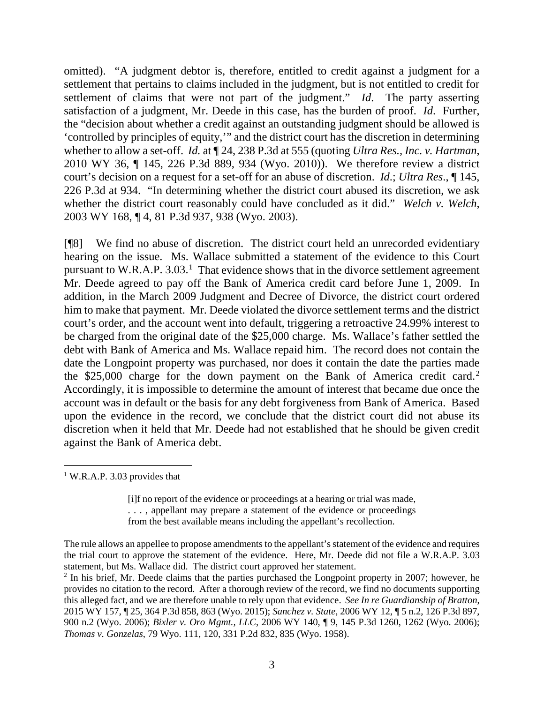omitted). "A judgment debtor is, therefore, entitled to credit against a judgment for a settlement that pertains to claims included in the judgment, but is not entitled to credit for settlement of claims that were not part of the judgment." *Id*. The party asserting satisfaction of a judgment, Mr. Deede in this case, has the burden of proof. *Id*. Further, the "decision about whether a credit against an outstanding judgment should be allowed is 'controlled by principles of equity,'" and the district court has the discretion in determining whether to allow a set-off. *Id.* at ¶ 24, 238 P.3d at 555 (quoting *Ultra Res., Inc. v. Hartman*, 2010 WY 36, ¶ 145, 226 P.3d 889, 934 (Wyo. 2010)). We therefore review a district court's decision on a request for a set-off for an abuse of discretion. *Id*.; *Ultra Res*., ¶ 145, 226 P.3d at 934. "In determining whether the district court abused its discretion, we ask whether the district court reasonably could have concluded as it did." *Welch v. Welch*, 2003 WY 168, ¶ 4, 81 P.3d 937, 938 (Wyo. 2003).

[¶8] We find no abuse of discretion. The district court held an unrecorded evidentiary hearing on the issue. Ms. Wallace submitted a statement of the evidence to this Court pursuant to W.R.A.P. 3.03.<sup>[1](#page-3-0)</sup> That evidence shows that in the divorce settlement agreement Mr. Deede agreed to pay off the Bank of America credit card before June 1, 2009. In addition, in the March 2009 Judgment and Decree of Divorce, the district court ordered him to make that payment. Mr. Deede violated the divorce settlement terms and the district court's order, and the account went into default, triggering a retroactive 24.99% interest to be charged from the original date of the \$25,000 charge. Ms. Wallace's father settled the debt with Bank of America and Ms. Wallace repaid him. The record does not contain the date the Longpoint property was purchased, nor does it contain the date the parties made the  $$25,000$  $$25,000$  $$25,000$  charge for the down payment on the Bank of America credit card.<sup>2</sup> Accordingly, it is impossible to determine the amount of interest that became due once the account was in default or the basis for any debt forgiveness from Bank of America. Based upon the evidence in the record, we conclude that the district court did not abuse its discretion when it held that Mr. Deede had not established that he should be given credit against the Bank of America debt.

<span id="page-3-0"></span><sup>1</sup> W.R.A.P. 3.03 provides that

> [i]f no report of the evidence or proceedings at a hearing or trial was made, . . . , appellant may prepare a statement of the evidence or proceedings from the best available means including the appellant's recollection.

The rule allows an appellee to propose amendments to the appellant's statement of the evidence and requires the trial court to approve the statement of the evidence. Here, Mr. Deede did not file a W.R.A.P. 3.03 statement, but Ms. Wallace did. The district court approved her statement.

<span id="page-3-1"></span><sup>&</sup>lt;sup>2</sup> In his brief, Mr. Deede claims that the parties purchased the Longpoint property in 2007; however, he provides no citation to the record. After a thorough review of the record, we find no documents supporting this alleged fact, and we are therefore unable to rely upon that evidence. *See In re Guardianship of Bratton*, 2015 WY 157, ¶ 25, 364 P.3d 858, 863 (Wyo. 2015); *Sanchez v. State*, 2006 WY 12, ¶ 5 n.2, 126 P.3d 897, 900 n.2 (Wyo. 2006); *Bixler v. Oro Mgmt., LLC*, 2006 WY 140, ¶ 9, 145 P.3d 1260, 1262 (Wyo. 2006); *Thomas v. Gonzelas*, 79 Wyo. 111, 120, 331 P.2d 832, 835 (Wyo. 1958).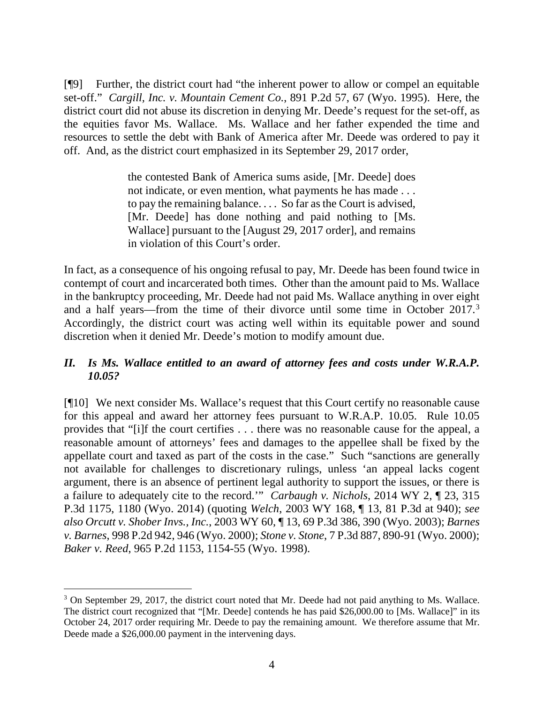[¶9] Further, the district court had "the inherent power to allow or compel an equitable set-off." *Cargill, Inc. v. Mountain Cement Co.*, 891 P.2d 57, 67 (Wyo. 1995). Here, the district court did not abuse its discretion in denying Mr. Deede's request for the set-off, as the equities favor Ms. Wallace. Ms. Wallace and her father expended the time and resources to settle the debt with Bank of America after Mr. Deede was ordered to pay it off. And, as the district court emphasized in its September 29, 2017 order,

> the contested Bank of America sums aside, [Mr. Deede] does not indicate, or even mention, what payments he has made . . . to pay the remaining balance. . . . So far as the Court is advised, [Mr. Deede] has done nothing and paid nothing to [Ms. Wallace] pursuant to the [August 29, 2017 order], and remains in violation of this Court's order.

In fact, as a consequence of his ongoing refusal to pay, Mr. Deede has been found twice in contempt of court and incarcerated both times. Other than the amount paid to Ms. Wallace in the bankruptcy proceeding, Mr. Deede had not paid Ms. Wallace anything in over eight and a half years—from the time of their divorce until some time in October 2017.[3](#page-4-0) Accordingly, the district court was acting well within its equitable power and sound discretion when it denied Mr. Deede's motion to modify amount due.

## *II. Is Ms. Wallace entitled to an award of attorney fees and costs under W.R.A.P. 10.05?*

[¶10] We next consider Ms. Wallace's request that this Court certify no reasonable cause for this appeal and award her attorney fees pursuant to W.R.A.P. 10.05. Rule 10.05 provides that "[i]f the court certifies . . . there was no reasonable cause for the appeal, a reasonable amount of attorneys' fees and damages to the appellee shall be fixed by the appellate court and taxed as part of the costs in the case." Such "sanctions are generally not available for challenges to discretionary rulings, unless 'an appeal lacks cogent argument, there is an absence of pertinent legal authority to support the issues, or there is a failure to adequately cite to the record.'" *Carbaugh v. Nichols*, 2014 WY 2, ¶ 23, 315 P.3d 1175, 1180 (Wyo. 2014) (quoting *Welch*, 2003 WY 168, ¶ 13, 81 P.3d at 940); *see also Orcutt v. Shober Invs., Inc.*, 2003 WY 60, ¶ 13, 69 P.3d 386, 390 (Wyo. 2003); *Barnes v. Barnes*, 998 P.2d 942, 946 (Wyo. 2000); *Stone v. Stone*, 7 P.3d 887, 890-91 (Wyo. 2000); *Baker v. Reed*, 965 P.2d 1153, 1154-55 (Wyo. 1998).

<span id="page-4-0"></span><sup>3</sup> On September 29, 2017, the district court noted that Mr. Deede had not paid anything to Ms. Wallace. The district court recognized that "[Mr. Deede] contends he has paid \$26,000.00 to [Ms. Wallace]" in its October 24, 2017 order requiring Mr. Deede to pay the remaining amount. We therefore assume that Mr. Deede made a \$26,000.00 payment in the intervening days.